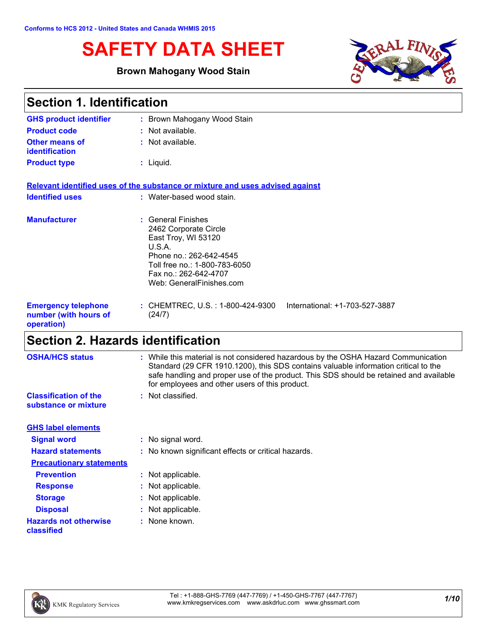# **SAFETY DATA SHEET**

### **Brown Mahogany Wood Stain**



| <b>Section 1. Identification</b>                                  |                                                                                                                                                                                               |  |
|-------------------------------------------------------------------|-----------------------------------------------------------------------------------------------------------------------------------------------------------------------------------------------|--|
| <b>GHS product identifier</b>                                     | : Brown Mahogany Wood Stain                                                                                                                                                                   |  |
| <b>Product code</b>                                               | $:$ Not available.                                                                                                                                                                            |  |
| <b>Other means of</b><br><b>identification</b>                    | : Not available.                                                                                                                                                                              |  |
| <b>Product type</b>                                               | $:$ Liquid.                                                                                                                                                                                   |  |
|                                                                   | Relevant identified uses of the substance or mixture and uses advised against                                                                                                                 |  |
| <b>Identified uses</b>                                            | : Water-based wood stain.                                                                                                                                                                     |  |
| <b>Manufacturer</b>                                               | : General Finishes<br>2462 Corporate Circle<br>East Troy, WI 53120<br>U.S.A.<br>Phone no.: 262-642-4545<br>Toll free no.: 1-800-783-6050<br>Fax no.: 262-642-4707<br>Web: GeneralFinishes.com |  |
| <b>Emergency telephone</b><br>number (with hours of<br>operation) | : CHEMTREC, U.S. : 1-800-424-9300<br>International: +1-703-527-3887<br>(24/7)                                                                                                                 |  |

## **Section 2. Hazards identification**

| <b>OSHA/HCS status</b>                               | : While this material is not considered hazardous by the OSHA Hazard Communication<br>Standard (29 CFR 1910.1200), this SDS contains valuable information critical to the<br>safe handling and proper use of the product. This SDS should be retained and available<br>for employees and other users of this product. |
|------------------------------------------------------|-----------------------------------------------------------------------------------------------------------------------------------------------------------------------------------------------------------------------------------------------------------------------------------------------------------------------|
| <b>Classification of the</b><br>substance or mixture | : Not classified.                                                                                                                                                                                                                                                                                                     |
| <b>GHS label elements</b>                            |                                                                                                                                                                                                                                                                                                                       |
| <b>Signal word</b>                                   | : No signal word.                                                                                                                                                                                                                                                                                                     |
| <b>Hazard statements</b>                             | : No known significant effects or critical hazards.                                                                                                                                                                                                                                                                   |
| <b>Precautionary statements</b>                      |                                                                                                                                                                                                                                                                                                                       |
| <b>Prevention</b>                                    | : Not applicable.                                                                                                                                                                                                                                                                                                     |
| <b>Response</b>                                      | : Not applicable.                                                                                                                                                                                                                                                                                                     |
| <b>Storage</b>                                       | : Not applicable.                                                                                                                                                                                                                                                                                                     |
| <b>Disposal</b>                                      | : Not applicable.                                                                                                                                                                                                                                                                                                     |
| <b>Hazards not otherwise</b><br>classified           | : None known.                                                                                                                                                                                                                                                                                                         |
|                                                      |                                                                                                                                                                                                                                                                                                                       |

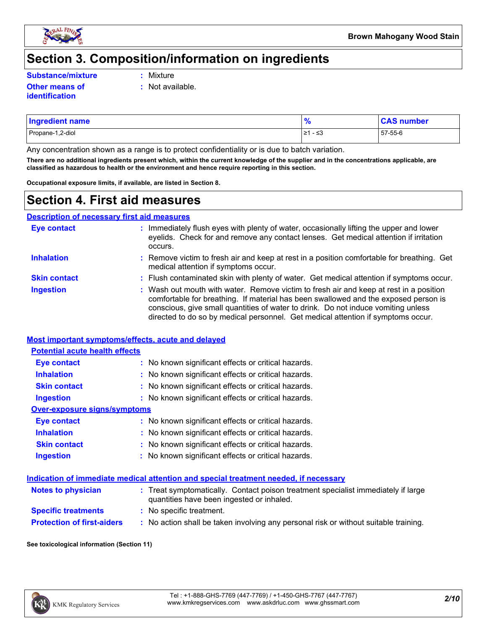

### **Section 3. Composition/information on ingredients**

**Substance/mixture :**

Mixture

**:** Not available.

- **Other means of identification**
- Propane-1,2-diol ≥1 ≤3 57-55-6 **Ingredient name % CAS number**

Any concentration shown as a range is to protect confidentiality or is due to batch variation.

**There are no additional ingredients present which, within the current knowledge of the supplier and in the concentrations applicable, are classified as hazardous to health or the environment and hence require reporting in this section.**

**Occupational exposure limits, if available, are listed in Section 8.**

### **Section 4. First aid measures**

**Description of necessary first aid measures**

| <b>Eye contact</b>  | : Immediately flush eyes with plenty of water, occasionally lifting the upper and lower<br>eyelids. Check for and remove any contact lenses. Get medical attention if irritation<br>occurs.                                                                                                                                                            |
|---------------------|--------------------------------------------------------------------------------------------------------------------------------------------------------------------------------------------------------------------------------------------------------------------------------------------------------------------------------------------------------|
| <b>Inhalation</b>   | : Remove victim to fresh air and keep at rest in a position comfortable for breathing. Get<br>medical attention if symptoms occur.                                                                                                                                                                                                                     |
| <b>Skin contact</b> | : Flush contaminated skin with plenty of water. Get medical attention if symptoms occur.                                                                                                                                                                                                                                                               |
| <b>Ingestion</b>    | : Wash out mouth with water. Remove victim to fresh air and keep at rest in a position<br>comfortable for breathing. If material has been swallowed and the exposed person is<br>conscious, give small quantities of water to drink. Do not induce vomiting unless<br>directed to do so by medical personnel. Get medical attention if symptoms occur. |

#### **Most important symptoms/effects, acute and delayed**

| <b>Potential acute health effects</b> |                                                     |
|---------------------------------------|-----------------------------------------------------|
| <b>Eye contact</b>                    | : No known significant effects or critical hazards. |
| <b>Inhalation</b>                     | : No known significant effects or critical hazards. |
| <b>Skin contact</b>                   | : No known significant effects or critical hazards. |
| <b>Ingestion</b>                      | : No known significant effects or critical hazards. |
| Over-exposure signs/symptoms          |                                                     |
| <b>Eye contact</b>                    | : No known significant effects or critical hazards. |
| <b>Inhalation</b>                     | : No known significant effects or critical hazards. |
| <b>Skin contact</b>                   | : No known significant effects or critical hazards. |
| <b>Ingestion</b>                      | : No known significant effects or critical hazards. |

#### **Indication of immediate medical attention and special treatment needed, if necessary**

| <b>Notes to physician</b>         | : Treat symptomatically. Contact poison treatment specialist immediately if large<br>quantities have been ingested or inhaled. |
|-----------------------------------|--------------------------------------------------------------------------------------------------------------------------------|
| <b>Specific treatments</b>        | : No specific treatment.                                                                                                       |
| <b>Protection of first-aiders</b> | No action shall be taken involving any personal risk or without suitable training.                                             |

#### **See toxicological information (Section 11)**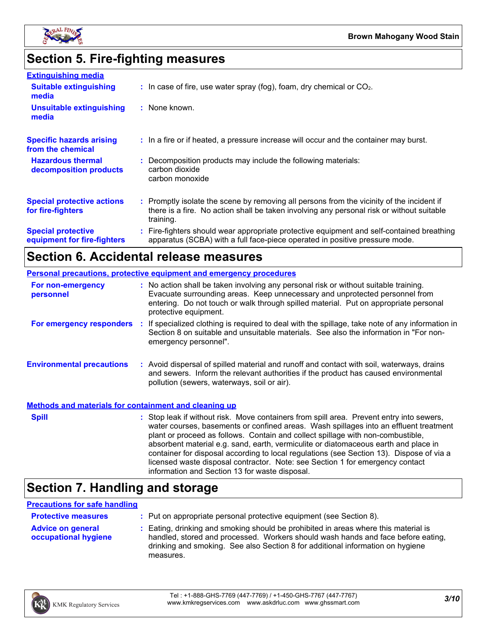

## **Section 5. Fire-fighting measures**

| <b>Extinguishing media</b>                               |                                                                                                                                                                                                     |
|----------------------------------------------------------|-----------------------------------------------------------------------------------------------------------------------------------------------------------------------------------------------------|
| <b>Suitable extinguishing</b><br>media                   | $\therefore$ In case of fire, use water spray (fog), foam, dry chemical or CO <sub>2</sub> .                                                                                                        |
| <b>Unsuitable extinguishing</b><br>media                 | : None known.                                                                                                                                                                                       |
| <b>Specific hazards arising</b><br>from the chemical     | : In a fire or if heated, a pressure increase will occur and the container may burst.                                                                                                               |
| <b>Hazardous thermal</b><br>decomposition products       | : Decomposition products may include the following materials:<br>carbon dioxide<br>carbon monoxide                                                                                                  |
| <b>Special protective actions</b><br>for fire-fighters   | : Promptly isolate the scene by removing all persons from the vicinity of the incident if<br>there is a fire. No action shall be taken involving any personal risk or without suitable<br>training. |
| <b>Special protective</b><br>equipment for fire-fighters | : Fire-fighters should wear appropriate protective equipment and self-contained breathing<br>apparatus (SCBA) with a full face-piece operated in positive pressure mode.                            |

### **Section 6. Accidental release measures**

| <b>Personal precautions, protective equipment and emergency procedures</b> |  |                                                                                                                                                                                                                                                                                                                                                                                                                                                                                                                                                                                            |  |
|----------------------------------------------------------------------------|--|--------------------------------------------------------------------------------------------------------------------------------------------------------------------------------------------------------------------------------------------------------------------------------------------------------------------------------------------------------------------------------------------------------------------------------------------------------------------------------------------------------------------------------------------------------------------------------------------|--|
| For non-emergency<br>personnel                                             |  | : No action shall be taken involving any personal risk or without suitable training.<br>Evacuate surrounding areas. Keep unnecessary and unprotected personnel from<br>entering. Do not touch or walk through spilled material. Put on appropriate personal<br>protective equipment.                                                                                                                                                                                                                                                                                                       |  |
| For emergency responders :                                                 |  | If specialized clothing is required to deal with the spillage, take note of any information in<br>Section 8 on suitable and unsuitable materials. See also the information in "For non-<br>emergency personnel".                                                                                                                                                                                                                                                                                                                                                                           |  |
| <b>Environmental precautions</b>                                           |  | : Avoid dispersal of spilled material and runoff and contact with soil, waterways, drains<br>and sewers. Inform the relevant authorities if the product has caused environmental<br>pollution (sewers, waterways, soil or air).                                                                                                                                                                                                                                                                                                                                                            |  |
| <b>Methods and materials for containment and cleaning up</b>               |  |                                                                                                                                                                                                                                                                                                                                                                                                                                                                                                                                                                                            |  |
| <b>Spill</b>                                                               |  | : Stop leak if without risk. Move containers from spill area. Prevent entry into sewers,<br>water courses, basements or confined areas. Wash spillages into an effluent treatment<br>plant or proceed as follows. Contain and collect spillage with non-combustible,<br>absorbent material e.g. sand, earth, vermiculite or diatomaceous earth and place in<br>container for disposal according to local regulations (see Section 13). Dispose of via a<br>licensed waste disposal contractor. Note: see Section 1 for emergency contact<br>information and Section 13 for waste disposal. |  |

### **Section 7. Handling and storage**

#### **Precautions for safe handling**

| <b>Protective measures</b>                       | : Put on appropriate personal protective equipment (see Section 8).                                                                                                                                                                                                    |
|--------------------------------------------------|------------------------------------------------------------------------------------------------------------------------------------------------------------------------------------------------------------------------------------------------------------------------|
| <b>Advice on general</b><br>occupational hygiene | : Eating, drinking and smoking should be prohibited in areas where this material is<br>handled, stored and processed. Workers should wash hands and face before eating,<br>drinking and smoking. See also Section 8 for additional information on hygiene<br>measures. |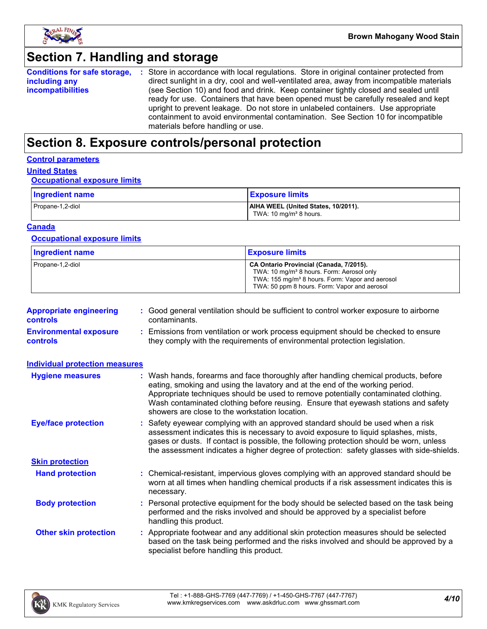

### **Section 7. Handling and storage**

**Conditions for safe storage, including any incompatibilities** Store in accordance with local regulations. Store in original container protected from **:** direct sunlight in a dry, cool and well-ventilated area, away from incompatible materials (see Section 10) and food and drink. Keep container tightly closed and sealed until ready for use. Containers that have been opened must be carefully resealed and kept upright to prevent leakage. Do not store in unlabeled containers. Use appropriate containment to avoid environmental contamination. See Section 10 for incompatible materials before handling or use.

### **Section 8. Exposure controls/personal protection**

#### **Control parameters**

#### **United States**

#### **Occupational exposure limits**

| Ingredient name  | <b>Exposure limits</b>                                                    |
|------------------|---------------------------------------------------------------------------|
| Propane-1,2-diol | AIHA WEEL (United States, 10/2011).<br>TWA: 10 mg/m <sup>3</sup> 8 hours. |

#### **Canada**

#### **Occupational exposure limits**

| <b>Ingredient name</b> | <b>Exposure limits</b>                                                                                                                                                                                          |
|------------------------|-----------------------------------------------------------------------------------------------------------------------------------------------------------------------------------------------------------------|
| Propane-1,2-diol       | CA Ontario Provincial (Canada, 7/2015).<br>TWA: 10 mg/m <sup>3</sup> 8 hours. Form: Aerosol only<br>TWA: 155 mg/m <sup>3</sup> 8 hours. Form: Vapor and aerosol<br>TWA: 50 ppm 8 hours. Form: Vapor and aerosol |

| <b>Appropriate engineering</b><br><b>controls</b> | : Good general ventilation should be sufficient to control worker exposure to airborne<br>contaminants.                                                          |
|---------------------------------------------------|------------------------------------------------------------------------------------------------------------------------------------------------------------------|
| <b>Environmental exposure</b><br><b>controls</b>  | : Emissions from ventilation or work process equipment should be checked to ensure<br>they comply with the requirements of environmental protection legislation. |

| <b>Individual protection measures</b> |                                                                                                                                                                                                                                                                                                                                                                                                   |
|---------------------------------------|---------------------------------------------------------------------------------------------------------------------------------------------------------------------------------------------------------------------------------------------------------------------------------------------------------------------------------------------------------------------------------------------------|
| <b>Hygiene measures</b>               | : Wash hands, forearms and face thoroughly after handling chemical products, before<br>eating, smoking and using the lavatory and at the end of the working period.<br>Appropriate techniques should be used to remove potentially contaminated clothing.<br>Wash contaminated clothing before reusing. Ensure that eyewash stations and safety<br>showers are close to the workstation location. |
| <b>Eye/face protection</b>            | : Safety eyewear complying with an approved standard should be used when a risk<br>assessment indicates this is necessary to avoid exposure to liquid splashes, mists,<br>gases or dusts. If contact is possible, the following protection should be worn, unless<br>the assessment indicates a higher degree of protection: safety glasses with side-shields.                                    |
| <b>Skin protection</b>                |                                                                                                                                                                                                                                                                                                                                                                                                   |
| <b>Hand protection</b>                | : Chemical-resistant, impervious gloves complying with an approved standard should be<br>worn at all times when handling chemical products if a risk assessment indicates this is<br>necessary.                                                                                                                                                                                                   |
| <b>Body protection</b>                | : Personal protective equipment for the body should be selected based on the task being<br>performed and the risks involved and should be approved by a specialist before<br>handling this product.                                                                                                                                                                                               |
| <b>Other skin protection</b>          | : Appropriate footwear and any additional skin protection measures should be selected<br>based on the task being performed and the risks involved and should be approved by a<br>specialist before handling this product.                                                                                                                                                                         |

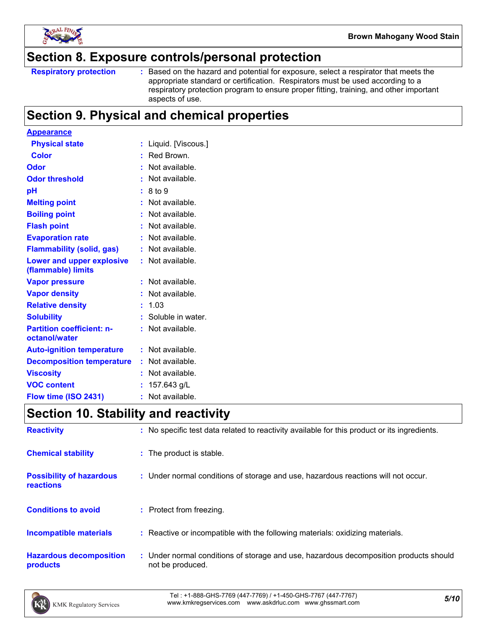

### **Section 8. Exposure controls/personal protection**

Based on the hazard and potential for exposure, select a respirator that meets the appropriate standard or certification. Respirators must be used according to a respiratory protection program to ensure proper fitting, training, and other important aspects of use.

### **Section 9. Physical and chemical properties**

| <b>Appearance</b>                                 |    |                     |
|---------------------------------------------------|----|---------------------|
| <b>Physical state</b>                             |    | Liquid. [Viscous.]  |
| <b>Color</b>                                      |    | Red Brown.          |
| Odor                                              |    | Not available.      |
| <b>Odor threshold</b>                             |    | Not available.      |
| рH                                                |    | 8 to 9              |
| <b>Melting point</b>                              |    | Not available.      |
| <b>Boiling point</b>                              |    | Not available.      |
| <b>Flash point</b>                                |    | Not available.      |
| <b>Evaporation rate</b>                           |    | Not available.      |
| <b>Flammability (solid, gas)</b>                  |    | Not available.      |
| Lower and upper explosive<br>(flammable) limits   |    | Not available.      |
| <b>Vapor pressure</b>                             |    | Not available.      |
| <b>Vapor density</b>                              |    | Not available.      |
| <b>Relative density</b>                           |    | 1.03                |
| <b>Solubility</b>                                 |    | : Soluble in water. |
| <b>Partition coefficient: n-</b><br>octanol/water |    | Not available.      |
| <b>Auto-ignition temperature</b>                  |    | Not available.      |
| <b>Decomposition temperature</b>                  |    | Not available.      |
| <b>Viscosity</b>                                  |    | Not available.      |
| <b>VOC content</b>                                |    | 157.643 g/L         |
| Flow time (ISO 2431)                              | ř. | Not available.      |

### **Section 10. Stability and reactivity**

| <b>Reactivity</b>                            | : No specific test data related to reactivity available for this product or its ingredients.              |
|----------------------------------------------|-----------------------------------------------------------------------------------------------------------|
| <b>Chemical stability</b>                    | : The product is stable.                                                                                  |
| <b>Possibility of hazardous</b><br>reactions | : Under normal conditions of storage and use, hazardous reactions will not occur.                         |
| <b>Conditions to avoid</b>                   | : Protect from freezing.                                                                                  |
| <b>Incompatible materials</b>                | : Reactive or incompatible with the following materials: oxidizing materials.                             |
| <b>Hazardous decomposition</b><br>products   | : Under normal conditions of storage and use, hazardous decomposition products should<br>not be produced. |

*5/10* Tel : +1-888-GHS-7769 (447-7769) / +1-450-GHS-7767 (447-7767) www.kmkregservices.com www.askdrluc.com www.ghssmart.com

**Respiratory protection :**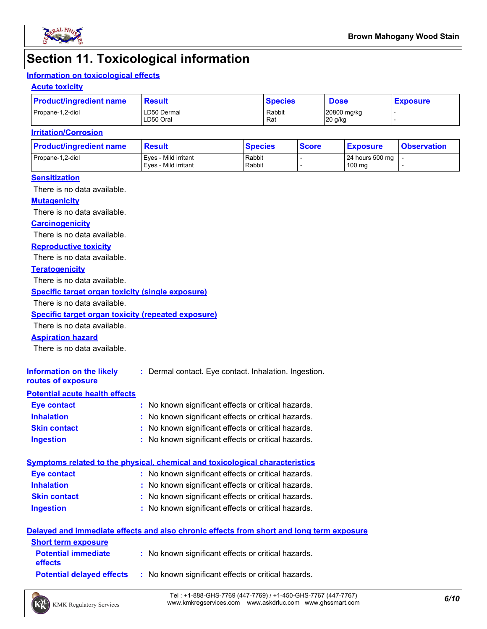

### **Section 11. Toxicological information**

### **Information on toxicological effects**

#### **Acute toxicity**

| <b>Product/ingredient name</b> | Result                   | <b>Species</b> | <b>Dose</b>            | <b>Exposure</b> |  |
|--------------------------------|--------------------------|----------------|------------------------|-----------------|--|
| Propane-1,2-diol               | LD50 Dermal<br>LD50 Oral | Rabbit<br>Rat  | 20800 mg/kg<br>20 g/kg |                 |  |

#### **Irritation/Corrosion**

| <b>Product/ingredient name</b> | <b>Result</b>                                | <b>Species</b>   | <b>Score</b> | <u>  Exposure</u>         | <b>Observation</b> |
|--------------------------------|----------------------------------------------|------------------|--------------|---------------------------|--------------------|
| Propane-1,2-diol               | Eves - Mild irritant<br>Eves - Mild irritant | Rabbit<br>Rabbit |              | 24 hours 500 mg<br>100 mg |                    |
|                                |                                              |                  |              |                           |                    |

#### **Sensitization**

There is no data available.

#### **Mutagenicity**

There is no data available.

#### **Carcinogenicity**

There is no data available.

#### **Reproductive toxicity**

There is no data available.

#### **Teratogenicity**

There is no data available.

#### **Specific target organ toxicity (single exposure)**

There is no data available.

#### **Specific target organ toxicity (repeated exposure)**

There is no data available.

#### **Aspiration hazard**

There is no data available.

| Information on the likely<br>routes of exposure | : Dermal contact. Eye contact. Inhalation. Ingestion. |
|-------------------------------------------------|-------------------------------------------------------|
| <b>Potential acute health effects</b>           |                                                       |
| <b>Eye contact</b>                              | : No known significant effects or critical hazards.   |
| <b>Inhalation</b>                               | : No known significant effects or critical hazards.   |
| <b>Skin contact</b>                             | : No known significant effects or critical hazards.   |

#### **Ingestion :** No known significant effects or critical hazards.

|                    | <u>Symptoms related to the physical, chemical and toxicological characteristics</u> |
|--------------------|-------------------------------------------------------------------------------------|
| <b>Eye contact</b> | : No known significant effects or critical hazards.                                 |

- **Skin contact Inhalation** No known significant effects or critical hazards. **:**
- **Ingestion** No known significant effects or critical hazards. **:**
	- No known significant effects or critical hazards. **:**

#### **Delayed and immediate effects and also chronic effects from short and long term exposure**

| <b>Short term exposure</b>                   |                                                     |
|----------------------------------------------|-----------------------------------------------------|
| <b>Potential immediate</b><br><b>effects</b> | : No known significant effects or critical hazards. |
| <b>Potential delaved effects</b>             | : No known significant effects or critical hazards. |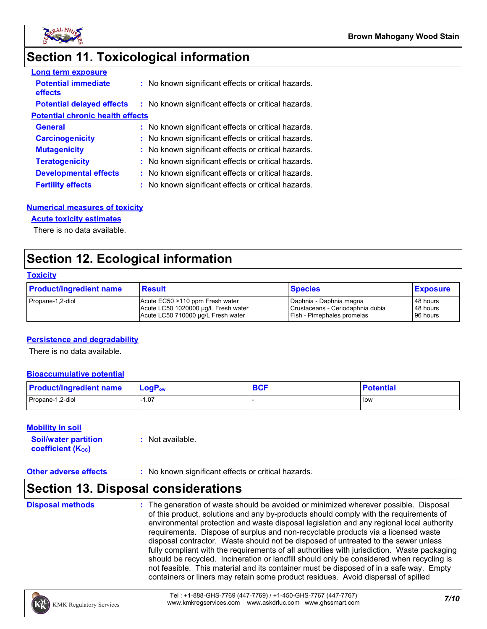

### **Section 11. Toxicological information**

| <b>Long term exposure</b>               |                                                     |
|-----------------------------------------|-----------------------------------------------------|
| <b>Potential immediate</b><br>effects   | : No known significant effects or critical hazards. |
| <b>Potential delayed effects</b>        | : No known significant effects or critical hazards. |
| <b>Potential chronic health effects</b> |                                                     |
| <b>General</b>                          | : No known significant effects or critical hazards. |
| <b>Carcinogenicity</b>                  | : No known significant effects or critical hazards. |
| <b>Mutagenicity</b>                     | : No known significant effects or critical hazards. |
| <b>Teratogenicity</b>                   | : No known significant effects or critical hazards. |
| <b>Developmental effects</b>            | : No known significant effects or critical hazards. |
| <b>Fertility effects</b>                | : No known significant effects or critical hazards. |

#### **Numerical measures of toxicity**

#### **Acute toxicity estimates**

There is no data available.

### **Section 12. Ecological information**

#### **Toxicity**

| <b>Product/ingredient name</b> | <b>Result</b>                       | <b>Species</b>                   | <b>Exposure</b> |
|--------------------------------|-------------------------------------|----------------------------------|-----------------|
| Propane-1,2-diol               | Acute EC50 >110 ppm Fresh water     | I Daphnia - Daphnia magna        | 48 hours        |
|                                | Acute LC50 1020000 ug/L Fresh water | Crustaceans - Ceriodaphnia dubia | 48 hours        |
|                                | Acute LC50 710000 ug/L Fresh water  | Fish - Pimephales promelas       | 96 hours        |

#### **Persistence and degradability**

There is no data available.

#### **Bioaccumulative potential**

| <b>Product/ingredient name</b> | $\mathsf{LogP}_\mathsf{ow}$ | <b>DAC</b><br><b>DUI</b> | <b>Potential</b> |
|--------------------------------|-----------------------------|--------------------------|------------------|
| Propane-1,2-diol               | 07، ا                       |                          | l low            |

#### **Mobility in soil**

| <b>Soil/water partition</b> | : Not available. |
|-----------------------------|------------------|
| <b>coefficient (Koc)</b>    |                  |

#### **Other adverse effects** : No known significant effects or critical hazards.

### **Section 13. Disposal considerations**

#### **Disposal methods :**

The generation of waste should be avoided or minimized wherever possible. Disposal of this product, solutions and any by-products should comply with the requirements of environmental protection and waste disposal legislation and any regional local authority requirements. Dispose of surplus and non-recyclable products via a licensed waste disposal contractor. Waste should not be disposed of untreated to the sewer unless fully compliant with the requirements of all authorities with jurisdiction. Waste packaging should be recycled. Incineration or landfill should only be considered when recycling is not feasible. This material and its container must be disposed of in a safe way. Empty containers or liners may retain some product residues. Avoid dispersal of spilled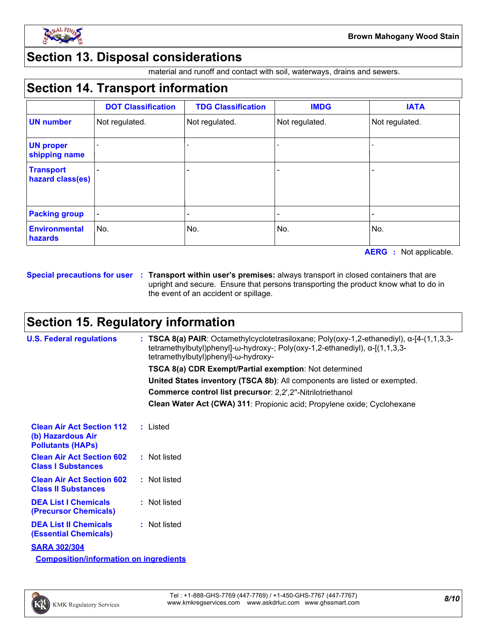

### **Section 13. Disposal considerations**

material and runoff and contact with soil, waterways, drains and sewers.

### **Section 14. Transport information**

|                                      | <b>DOT Classification</b> | <b>TDG Classification</b> | <b>IMDG</b>    | <b>IATA</b>    |
|--------------------------------------|---------------------------|---------------------------|----------------|----------------|
| <b>UN number</b>                     | Not regulated.            | Not regulated.            | Not regulated. | Not regulated. |
| <b>UN proper</b><br>shipping name    |                           |                           |                |                |
| <b>Transport</b><br>hazard class(es) |                           | -                         |                |                |
| <b>Packing group</b>                 |                           |                           |                |                |
| <b>Environmental</b><br>hazards      | No.                       | No.                       | No.            | No.            |

**AERG :** Not applicable.

**Special precautions for user Transport within user's premises:** always transport in closed containers that are **:** upright and secure. Ensure that persons transporting the product know what to do in the event of an accident or spillage.

### **Section 15. Regulatory information**

| <b>U.S. Federal regulations</b>                                                   | : TSCA 8(a) PAIR: Octamethylcyclotetrasiloxane; Poly(oxy-1,2-ethanediyl), $\alpha$ -[4-(1,1,3,3-<br>tetramethylbutyl)phenyl]- $\omega$ -hydroxy-; Poly(oxy-1,2-ethanediyl), $\alpha$ -[(1,1,3,3-<br>tetramethylbutyl)phenyl]-ω-hydroxy- |
|-----------------------------------------------------------------------------------|-----------------------------------------------------------------------------------------------------------------------------------------------------------------------------------------------------------------------------------------|
|                                                                                   | <b>TSCA 8(a) CDR Exempt/Partial exemption: Not determined</b>                                                                                                                                                                           |
|                                                                                   | United States inventory (TSCA 8b): All components are listed or exempted.                                                                                                                                                               |
|                                                                                   | Commerce control list precursor: 2,2',2"-Nitrilotriethanol                                                                                                                                                                              |
|                                                                                   | Clean Water Act (CWA) 311: Propionic acid; Propylene oxide; Cyclohexane                                                                                                                                                                 |
| <b>Clean Air Act Section 112</b><br>(b) Hazardous Air<br><b>Pollutants (HAPs)</b> | : Listed                                                                                                                                                                                                                                |
| <b>Clean Air Act Section 602</b><br><b>Class I Substances</b>                     | : Not listed                                                                                                                                                                                                                            |
| <b>Clean Air Act Section 602</b><br><b>Class II Substances</b>                    | : Not listed                                                                                                                                                                                                                            |
| <b>DEA List I Chemicals</b><br><b>(Precursor Chemicals)</b>                       | : Not listed                                                                                                                                                                                                                            |
| <b>DEA List II Chemicals</b><br><b>(Essential Chemicals)</b>                      | : Not listed                                                                                                                                                                                                                            |
| <b>SARA 302/304</b>                                                               |                                                                                                                                                                                                                                         |
| <b>Composition/information on ingredients</b>                                     |                                                                                                                                                                                                                                         |

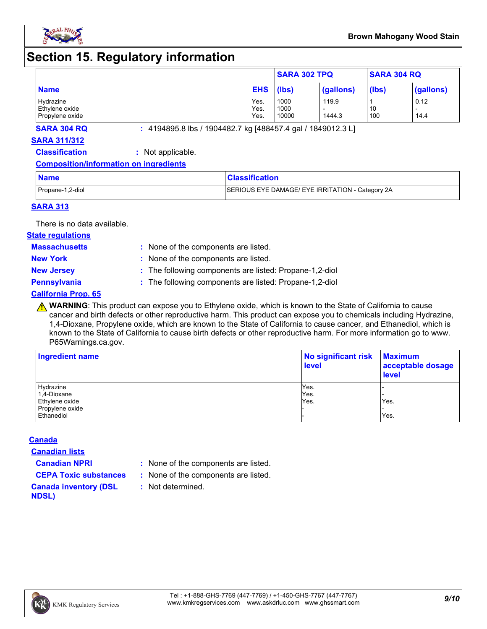

### **Section 15. Regulatory information**

|                 |            | <b>SARA 302 TPQ</b> |           | <b>SARA 304 RQ</b> |           |
|-----------------|------------|---------------------|-----------|--------------------|-----------|
| <b>Name</b>     | <b>EHS</b> | (lbs)               | (gallons) | (lbs)              | (gallons) |
| Hydrazine       | Yes.       | 1000                | 119.9     |                    | 0.12      |
| Ethylene oxide  | Yes.       | 1000                |           | 10                 | -         |
| Propylene oxide | Yes.       | 10000               | 1444.3    | 100                | 14.4      |

**SARA 304 RQ :** 4194895.8 lbs / 1904482.7 kg [488457.4 gal / 1849012.3 L]

#### **SARA 311/312**

**Classification :** Not applicable.

#### **Composition/information on ingredients**

| <b>Name</b>      | <b>Classification</b>                            |
|------------------|--------------------------------------------------|
| Propane-1,2-diol | SERIOUS EYE DAMAGE/ EYE IRRITATION - Category 2A |

#### **SARA 313**

There is no data available.

#### **State regulations**

**Massachusetts :**

: None of the components are listed. **New York :** None of the components are listed.

**New Jersey :** The following components are listed: Propane-1,2-diol

**Pennsylvania :** The following components are listed: Propane-1,2-diol

#### **California Prop. 65**

**A WARNING**: This product can expose you to Ethylene oxide, which is known to the State of California to cause cancer and birth defects or other reproductive harm. This product can expose you to chemicals including Hydrazine, 1,4-Dioxane, Propylene oxide, which are known to the State of California to cause cancer, and Ethanediol, which is known to the State of California to cause birth defects or other reproductive harm. For more information go to www. P65Warnings.ca.gov.

| Ingredient name | No significant risk<br><b>level</b> | <b>Maximum</b><br>acceptable dosage<br><b>level</b> |  |
|-----------------|-------------------------------------|-----------------------------------------------------|--|
| Hydrazine       | Yes.                                |                                                     |  |
| 1,4-Dioxane     | Yes.                                |                                                     |  |
| Ethylene oxide  | Yes.                                | Yes.                                                |  |
| Propylene oxide |                                     |                                                     |  |
| Ethanediol      |                                     | Yes.                                                |  |

#### **Canada**

**Canadian lists**

**Canadian NPRI :** None of the components are listed.

**CEPA Toxic substances :** None of the components are listed.

**:** Not determined.

**Canada inventory (DSL NDSL)**